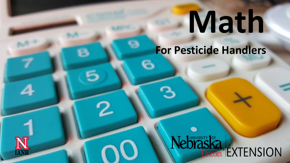# **Math**

**For Pesticide Handlers**

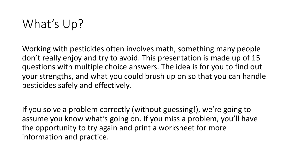### What's Up?

Working with pesticides often involves math, something many people don't really enjoy and try to avoid. This presentation is made up of 15 questions with multiple choice answers. The idea is for you to find out your strengths, and what you could brush up on so that you can handle pesticides safely and effectively.

If you solve a problem correctly (without guessing!), we're going to assume you know what's going on. If you miss a problem, you'll have the opportunity to try again and print a worksheet for more information and practice.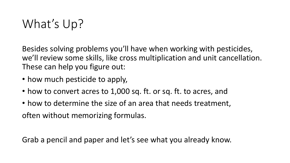### What's Up?

Besides solving problems you'll have when working with pesticides, we'll review some skills, like cross multiplication and unit cancellation. These can help you figure out:

- how much pesticide to apply,
- how to convert acres to 1,000 sq. ft. or sq. ft. to acres, and
- how to determine the size of an area that needs treatment, often without memorizing formulas.

Grab a pencil and paper and let's see what you already know.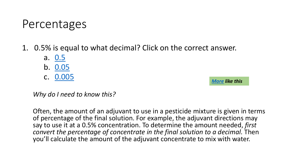### Percentages

1. 0.5% is equal to what decimal? Click on the

- a. 0.5
- b. 0.05
- c. 0.005

*Why do I need to know this?* 

Often, the amount of an adjuvant to use in a pesticid of percentage of the final solution. For example, the say to use it at a 0.5% concentration. To determine t *convert the percentage of concentrate in the final solution* you'll calculate the amount of the adjuvant concent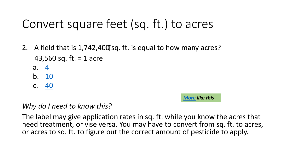### Convert square feet (sq. ft.) to

- 2. A field that is  $1,742,400$  sq. ft. is equal to how n 43,560 sq. ft. = 1 acre
	- a.  $4$
	- b. 10
	- c. 40

#### *More like this*

#### *Why do I need to know this?*

The label may give application rates in sq. ft. while your need treatment, or vise versa. You may have to con or acres to sq. ft. to figure out the correct amount of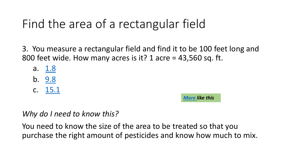# Fi[nd the](#page-19-0) area of a rectangular f

3. You measure a rectangular field and find it to 800 feet wide. How many acres is it? 1 acre =  $43$ 

- a. 1.8
- b. 9.8
- c. 15.1

*More like this*

*Why do I need to know this?* 

You need to know the size of the area to be treated so that you need to know the size of the area to be treated purchase the right amount of pesticides and know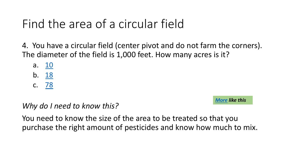## Find the area of a circular field

4. You have a circular field (center pivot and do The diameter of the field is  $1,000$  feet. How marger

- a. <u>10</u>
- b. 18
- c. 78

#### *Why do I need to know this?*

You need to know the size of the area to be treated so that you need to know the size of the area to be treated purchase the right amount of pesticides and know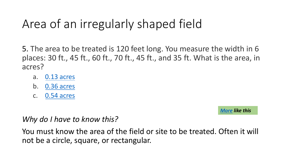# A[rea of an](#page-19-0) irregularly shaped fi

5. The area to be treated is 120 feet long. You m places: 30 ft., 45 ft., 60 ft., 70 ft., 45 ft., and 35  $\cdot$ acres?

- a. 0.13 acres
- b. 0.36 acres
- c. 0.54 acres

*Why do I have to know this?* 

You must know the area of the field or site to be not be a circle, square, or rectangular.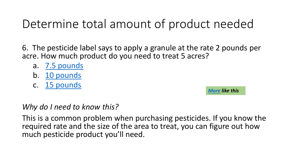### Determine total amount of pro

- 6. The pesticide label says to apply a granule at acre. How much product do you need to treat 5
	- a. 7.5 pounds
	- b. 10 pounds
	- c. 15 pounds

#### *Why do I need to know this?*

This is a common problem when purchasing pest required rate and the size of the area to treat, y much pesticide product you'll need.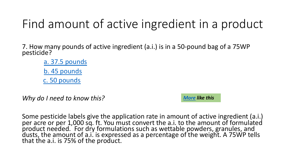### Find amount of active ingredie

7. How many pounds of active ingredient (a.i.) is in a 50-<br>pesticide?

a. 37.5 pounds b. 45 pounds c. 50 pounds

*Why do I need to know this?*

*More like this*

Some pesticide labels give the application rate in amour per acre or per 1,000 sq. ft. You must convert the a.i. to product needed. For dry formulations such as wettable dusts, the amount of a.i. is expressed as a percentage of that the a.i. is 75% of the product.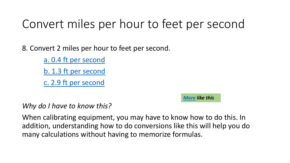### Convert miles [pe](https://pested.unl.edu/documents/Calibration/08_Convert_Miles_per_Hour_to_Feet_per_Second.pdf)r hour to feet

8. Convert 2 miles per hour to feet per second.

a. 0.4 ft per second

b. 1.3 ft per second

c. 2.9 ft per second

#### *Why do I have to know this?*

When calibrating equipment, you may have to know addition, understanding how to do conversions like many calculations without having to memorize forn

*More like this*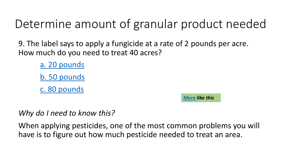### Determine amount of granular [pro](https://pested.unl.edu/documents/Calibration/09_Determine_Amount_of_Granular_Product_Needed.pdf)duct

9. The label says to apply a fungicide at a rate of How much do you need to treat 40 acres?

> a. 20 pounds b. 50 pounds

c. 80 pounds

*More like this*

*Why do I need to know this?*

When applying pesticides, one of the most comn have is to figure out how much pesticide needed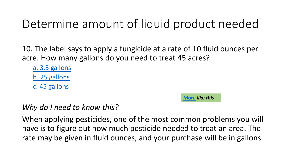## Determine amount of liquid p[rod](https://pested.unl.edu/documents/Calibration/10_Determine_Amount_of_Liquid_Product_Needed.pdf)uct and the amount of liquid products

10. The label says to apply a fungicide at a rate acre. How many gallons do you need to treat 45

a. 3.5 gallons

b. 25 gallons

c. 45 gallons

#### *More like this*

#### *Why do I need to know this?*

When applying pesticides, one of the most common have is to figure out how much pesticide neede rate may be given in fluid ounces, and your pure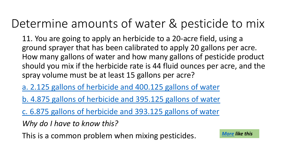### Determine amounts of water & per

11. You are going to apply an herbicide to a 20-a ground sprayer that has been calibrated to appl How many gallons of water and how many gallo should you mix if the herbicide rate is 44 fluid o spray volume must be at least 15 gallons per act

a. 2.125 gallons of herbicide and 400.125 gallon

b. 4.875 gallons of herbicide and 395.125 gallor

c. 6.875 gallons of herbicide and 393.125 gallon

*Why do I have to know this?* 

This is a common problem when mixing pesticide.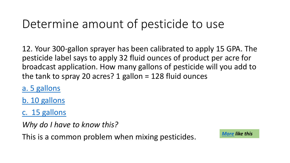## [Determi](#page-19-0)ne amount of pesticide

12. Your 300-gallon sprayer has been calibrated pesticide label says to apply 32 fluid ounces of p broadcast application. How many gallons of pes the tank to spray 20 acres? 1 gallon = 128 fluid  $\alpha$ 

a. 5 gallons

b. 10 gallons

c. 15 gallons

*Why do I have to know this?* 

This is a common problem when mixing pesticid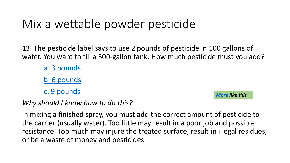### Mix [a wetta](#page-19-0)ble powder pesticident

13. The pesticide label says to use 2 pounds of pest water. You want to fill a 300-gallon tank. How much

a. 3 pounds

b. 6 pounds

c. 9 pounds

*Why should I know how to do this?* 

In mixing a finished spray, you must add the correct the carrier (usually water). Too little may result in a resistance. Too much may injure the treated surface or be a waste of money and pesticides.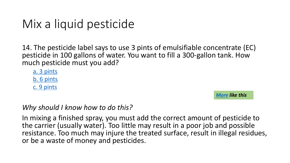### Mix a liquid pesticide

14. The pesticide label says to use 3 pints of emulsit pesticide in 100 gallons of water. You want to fill a 3 much pesticide must you add?

a. 3 pints b. 6 pints c. 9 pints

#### *Why should I know how to do this?*

In mixing a finished spray, you must add the correct the carrier (usually water). Too little may result in a resistance. Too much may injure the treated surface or be a waste of money and pesticides.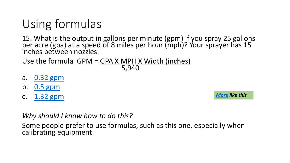## [Using fo](#page-19-0)rmulas

15. What is the output in gallons per minute (gpm) per acre (gpa) at a speed of 8 miles per hour (mph) inches between nozzles.

Use the formula  $GPM = GPA X MPH X Width (inche)$ 5,940

- a. 0.32 gpm
- b. 0.5 gpm
- c. 1.32 gpm

*Why should I know how to do this?* 

Some people prefer to use formulas, such as this or calibrating equipment.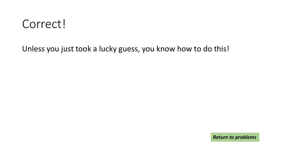### <span id="page-18-0"></span>Correct!

Unless you just took a lucky guess, you know how to do this!

*Return to problems*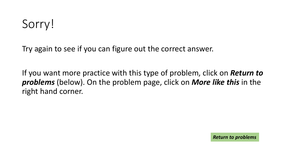<span id="page-19-0"></span>Try again to see if you can figure out the correct answer.

If you want more practice with this type of problem, click on *Return to problems* (below). On the problem page, click on *More like this* in the right hand corner.

*Return to problems*